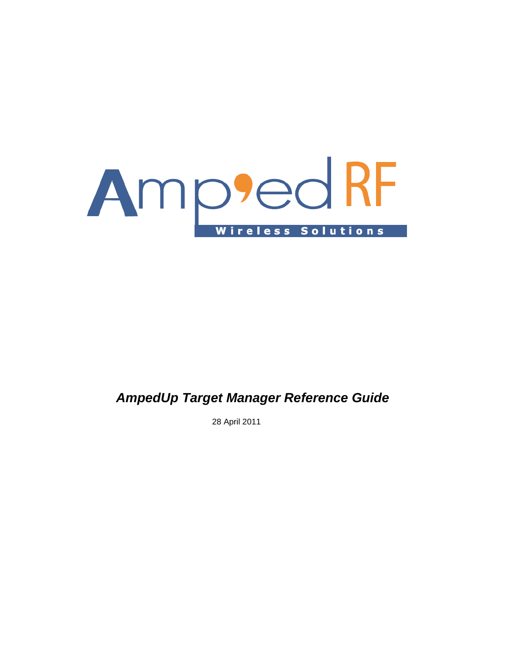

# *AmpedUp Target Manager Reference Guide*

28 April 2011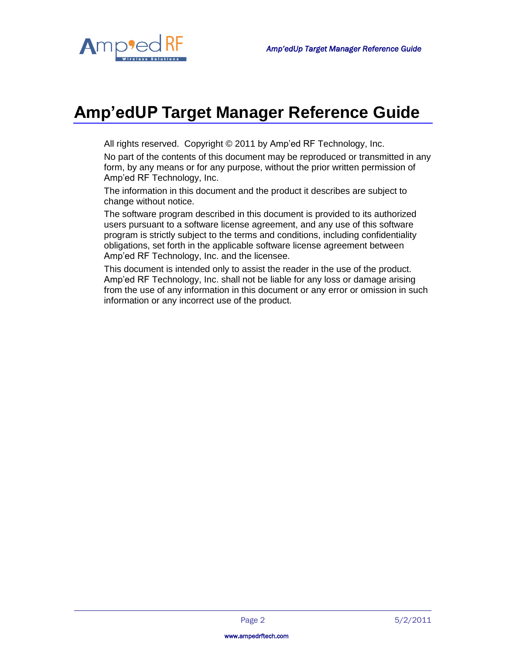

# **Amp'edUP Target Manager Reference Guide**

All rights reserved. Copyright © 2011 by Amp'ed RF Technology, Inc.

No part of the contents of this document may be reproduced or transmitted in any form, by any means or for any purpose, without the prior written permission of Amp'ed RF Technology, Inc.

The information in this document and the product it describes are subject to change without notice.

The software program described in this document is provided to its authorized users pursuant to a software license agreement, and any use of this software program is strictly subject to the terms and conditions, including confidentiality obligations, set forth in the applicable software license agreement between Amp'ed RF Technology, Inc. and the licensee.

This document is intended only to assist the reader in the use of the product. Amp'ed RF Technology, Inc. shall not be liable for any loss or damage arising from the use of any information in this document or any error or omission in such information or any incorrect use of the product.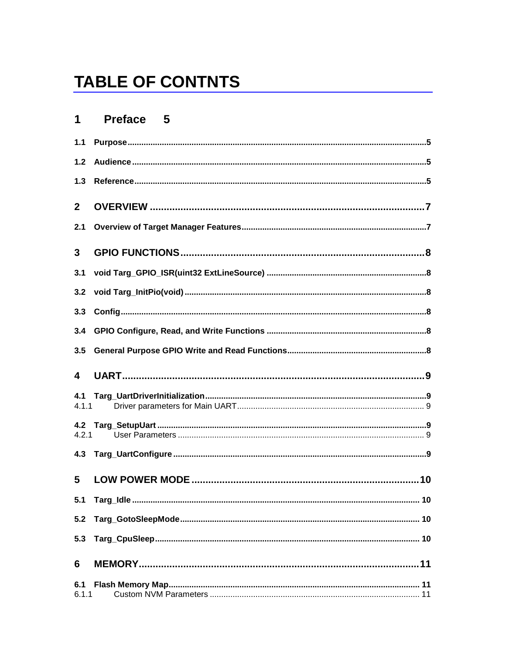# **TABLE OF CONTNTS**

#### Preface 5  $1<sup>1</sup>$

| $1.1$        |  |
|--------------|--|
| $1.2$        |  |
| 1.3          |  |
| $\mathbf{2}$ |  |
| 2.1          |  |
| 3            |  |
| 3.1          |  |
| 3.2          |  |
| 3.3          |  |
| 3.4          |  |
| 3.5          |  |
|              |  |
| 4            |  |
| 4.1<br>4.1.1 |  |
| 4.2          |  |
| 4.2.1<br>4.3 |  |
| 5            |  |
| 5.1          |  |
| 5.2          |  |
| 5.3          |  |
| 6            |  |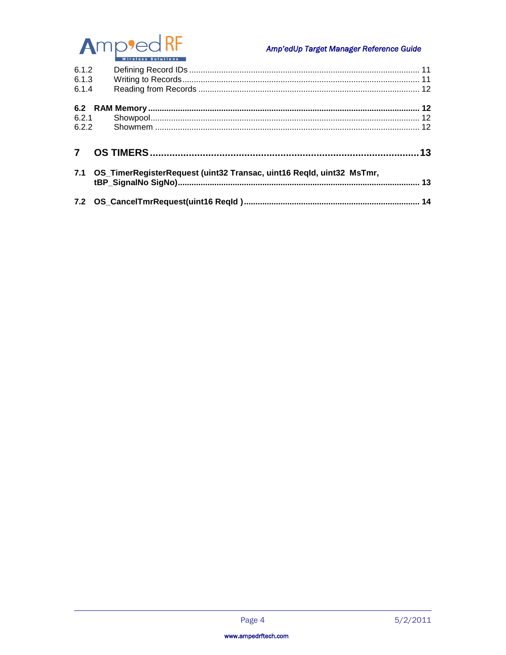

# Amp'edUp Target Manager Reference Guide

| 6.1.2<br>6.1.3<br>6.1.4 |                                                                          |     |
|-------------------------|--------------------------------------------------------------------------|-----|
|                         |                                                                          |     |
| 6.2.1                   |                                                                          |     |
| 6.2.2                   |                                                                          |     |
|                         |                                                                          | .13 |
|                         | 7.1 OS_TimerRegisterRequest (uint32 Transac, uint16 Regld, uint32 MsTmr, |     |
|                         |                                                                          |     |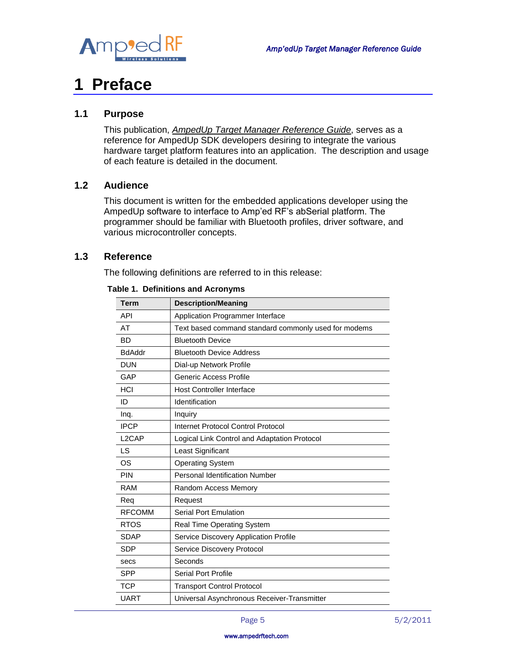

# <span id="page-4-0"></span>**1 Preface**

### <span id="page-4-1"></span>**1.1 Purpose**

This publication, *AmpedUp Target Manager Reference Guide*, serves as a reference for AmpedUp SDK developers desiring to integrate the various hardware target platform features into an application. The description and usage of each feature is detailed in the document.

#### <span id="page-4-2"></span>**1.2 Audience**

This document is written for the embedded applications developer using the AmpedUp software to interface to Amp'ed RF's abSerial platform. The programmer should be familiar with Bluetooth profiles, driver software, and various microcontroller concepts.

### <span id="page-4-3"></span>**1.3 Reference**

The following definitions are referred to in this release:

| <b>Term</b>        | <b>Description/Meaning</b>                           |
|--------------------|------------------------------------------------------|
| <b>API</b>         | Application Programmer Interface                     |
| AT                 | Text based command standard commonly used for modems |
| <b>BD</b>          | <b>Bluetooth Device</b>                              |
| <b>BdAddr</b>      | <b>Bluetooth Device Address</b>                      |
| <b>DUN</b>         | Dial-up Network Profile                              |
| GAP                | <b>Generic Access Profile</b>                        |
| HCI                | <b>Host Controller Interface</b>                     |
| ID                 | Identification                                       |
| Ing.               | Inquiry                                              |
| <b>IPCP</b>        | Internet Protocol Control Protocol                   |
| L <sub>2</sub> CAP | Logical Link Control and Adaptation Protocol         |
| LS                 | Least Significant                                    |
| OS                 | <b>Operating System</b>                              |
| <b>PIN</b>         | Personal Identification Number                       |
| <b>RAM</b>         | Random Access Memory                                 |
| Req                | Request                                              |
| <b>RFCOMM</b>      | <b>Serial Port Emulation</b>                         |
| <b>RTOS</b>        | <b>Real Time Operating System</b>                    |
| <b>SDAP</b>        | Service Discovery Application Profile                |
| <b>SDP</b>         | Service Discovery Protocol                           |
| secs               | Seconds                                              |
| <b>SPP</b>         | <b>Serial Port Profile</b>                           |
| <b>TCP</b>         | <b>Transport Control Protocol</b>                    |
| <b>UART</b>        | Universal Asynchronous Receiver-Transmitter          |

#### **Table 1. Definitions and Acronyms**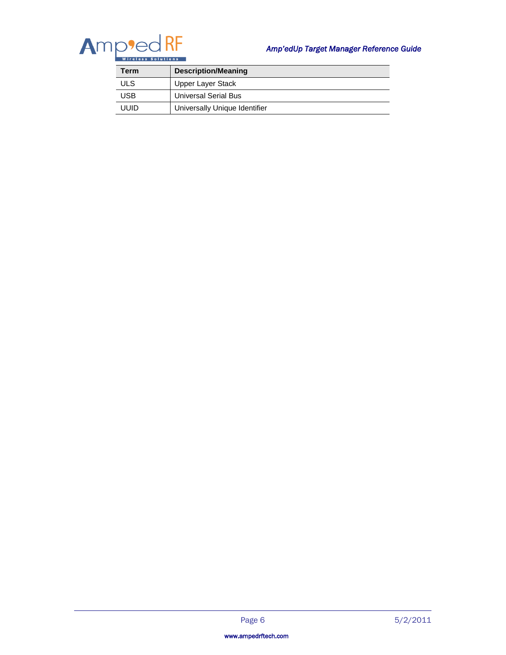

# *Amp'edUp Target Manager Reference Guide*

| Term       | <b>Description/Meaning</b>    |
|------------|-------------------------------|
| ULS        | <b>Upper Layer Stack</b>      |
| <b>USB</b> | <b>Universal Serial Bus</b>   |
| uuid       | Universally Unique Identifier |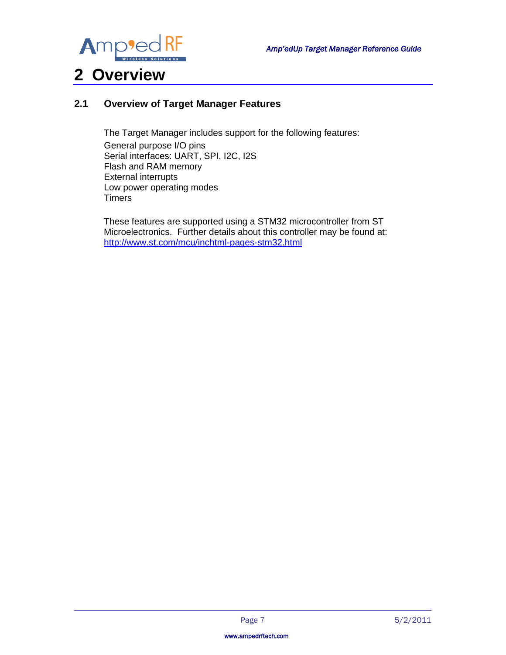

# <span id="page-6-0"></span>**2 Overview**

# <span id="page-6-1"></span>**2.1 Overview of Target Manager Features**

The Target Manager includes support for the following features:

General purpose I/O pins Serial interfaces: UART, SPI, I2C, I2S Flash and RAM memory External interrupts Low power operating modes **Timers** 

These features are supported using a STM32 microcontroller from ST Microelectronics. Further details about this controller may be found at: <http://www.st.com/mcu/inchtml-pages-stm32.html>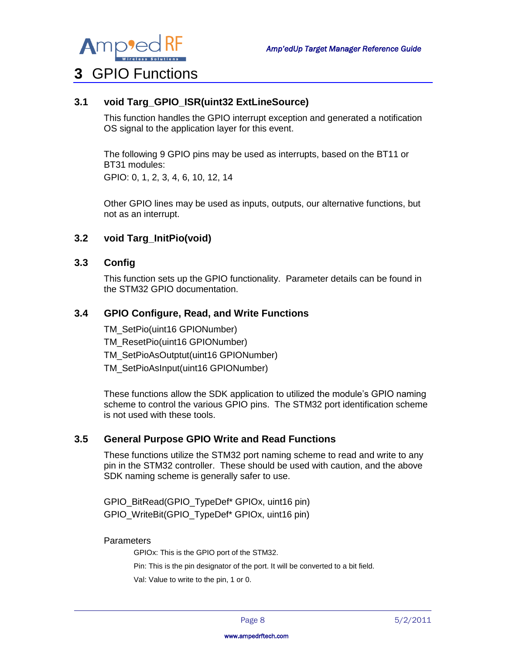

# <span id="page-7-0"></span>**3** GPIO Functions

# <span id="page-7-1"></span>**3.1 void Targ\_GPIO\_ISR(uint32 ExtLineSource)**

This function handles the GPIO interrupt exception and generated a notification OS signal to the application layer for this event.

The following 9 GPIO pins may be used as interrupts, based on the BT11 or BT31 modules: GPIO: 0, 1, 2, 3, 4, 6, 10, 12, 14

Other GPIO lines may be used as inputs, outputs, our alternative functions, but not as an interrupt.

#### <span id="page-7-2"></span>**3.2 void Targ\_InitPio(void)**

#### <span id="page-7-3"></span>**3.3 Config**

This function sets up the GPIO functionality. Parameter details can be found in the STM32 GPIO documentation.

#### <span id="page-7-4"></span>**3.4 GPIO Configure, Read, and Write Functions**

TM\_SetPio(uint16 GPIONumber) TM\_ResetPio(uint16 GPIONumber) TM\_SetPioAsOutptut(uint16 GPIONumber) TM\_SetPioAsInput(uint16 GPIONumber)

These functions allow the SDK application to utilized the module's GPIO naming scheme to control the various GPIO pins. The STM32 port identification scheme is not used with these tools.

#### <span id="page-7-5"></span>**3.5 General Purpose GPIO Write and Read Functions**

These functions utilize the STM32 port naming scheme to read and write to any pin in the STM32 controller. These should be used with caution, and the above SDK naming scheme is generally safer to use.

GPIO\_BitRead(GPIO\_TypeDef\* GPIOx, uint16 pin) GPIO\_WriteBit(GPIO\_TypeDef\* GPIOx, uint16 pin)

#### **Parameters**

GPIOx: This is the GPIO port of the STM32.

Pin: This is the pin designator of the port. It will be converted to a bit field.

Val: Value to write to the pin, 1 or 0.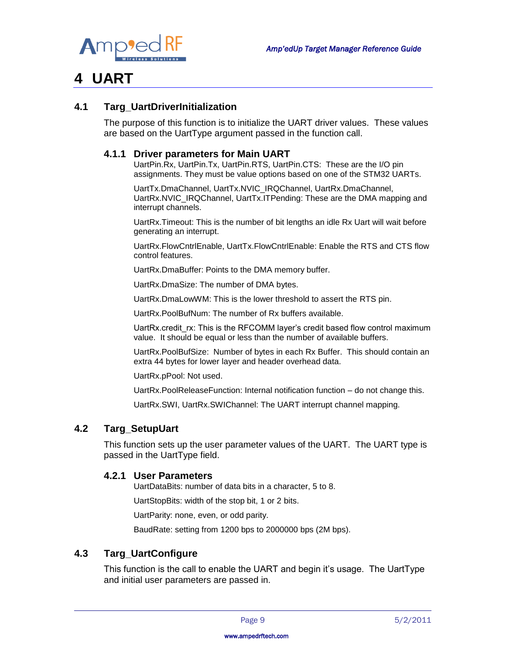

# <span id="page-8-0"></span>**4 UART**

### <span id="page-8-1"></span>**4.1 Targ\_UartDriverInitialization**

The purpose of this function is to initialize the UART driver values. These values are based on the UartType argument passed in the function call.

#### <span id="page-8-2"></span>**4.1.1 Driver parameters for Main UART**

UartPin.Rx, UartPin.Tx, UartPin.RTS, UartPin.CTS: These are the I/O pin assignments. They must be value options based on one of the STM32 UARTs.

UartTx.DmaChannel, UartTx.NVIC\_IRQChannel, UartRx.DmaChannel, UartRx.NVIC\_IRQChannel, UartTx.ITPending: These are the DMA mapping and interrupt channels.

UartRx.Timeout: This is the number of bit lengths an idle Rx Uart will wait before generating an interrupt.

UartRx.FlowCntrlEnable, UartTx.FlowCntrlEnable: Enable the RTS and CTS flow control features.

UartRx.DmaBuffer: Points to the DMA memory buffer.

UartRx.DmaSize: The number of DMA bytes.

UartRx.DmaLowWM: This is the lower threshold to assert the RTS pin.

UartRx.PoolBufNum: The number of Rx buffers available.

UartRx.credit\_rx: This is the RFCOMM layer's credit based flow control maximum value. It should be equal or less than the number of available buffers.

UartRx.PoolBufSize: Number of bytes in each Rx Buffer. This should contain an extra 44 bytes for lower layer and header overhead data.

UartRx.pPool: Not used.

UartRx.PoolReleaseFunction: Internal notification function – do not change this.

UartRx.SWI, UartRx.SWIChannel: The UART interrupt channel mapping.

#### <span id="page-8-3"></span>**4.2 Targ\_SetupUart**

This function sets up the user parameter values of the UART. The UART type is passed in the UartType field.

#### <span id="page-8-4"></span>**4.2.1 User Parameters**

UartDataBits: number of data bits in a character, 5 to 8.

UartStopBits: width of the stop bit, 1 or 2 bits.

UartParity: none, even, or odd parity.

BaudRate: setting from 1200 bps to 2000000 bps (2M bps).

#### <span id="page-8-5"></span>**4.3 Targ\_UartConfigure**

This function is the call to enable the UART and begin it's usage. The UartType and initial user parameters are passed in.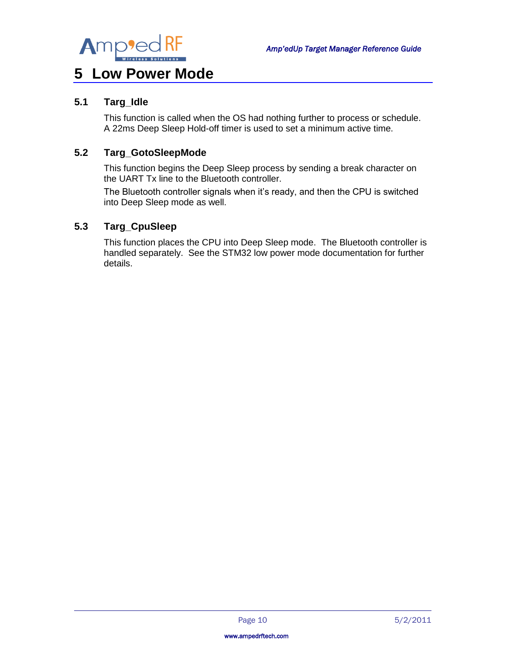

# <span id="page-9-0"></span>**5 Low Power Mode**

# <span id="page-9-1"></span>**5.1 Targ\_Idle**

This function is called when the OS had nothing further to process or schedule. A 22ms Deep Sleep Hold-off timer is used to set a minimum active time.

### <span id="page-9-2"></span>**5.2 Targ\_GotoSleepMode**

This function begins the Deep Sleep process by sending a break character on the UART Tx line to the Bluetooth controller.

The Bluetooth controller signals when it's ready, and then the CPU is switched into Deep Sleep mode as well.

### <span id="page-9-3"></span>**5.3 Targ\_CpuSleep**

This function places the CPU into Deep Sleep mode. The Bluetooth controller is handled separately. See the STM32 low power mode documentation for further details.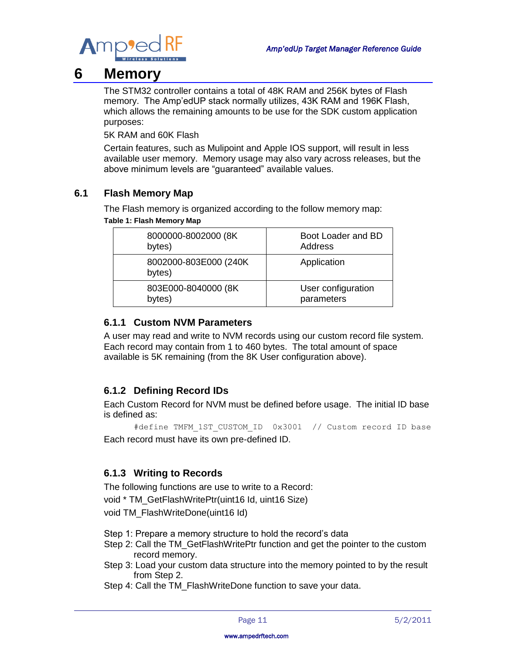

# <span id="page-10-0"></span>**6 Memory**

The STM32 controller contains a total of 48K RAM and 256K bytes of Flash memory. The Amp'edUP stack normally utilizes, 43K RAM and 196K Flash, which allows the remaining amounts to be use for the SDK custom application purposes:

5K RAM and 60K Flash

Certain features, such as Mulipoint and Apple IOS support, will result in less available user memory. Memory usage may also vary across releases, but the above minimum levels are "guaranteed" available values.

# <span id="page-10-1"></span>**6.1 Flash Memory Map**

The Flash memory is organized according to the follow memory map: **Table 1: Flash Memory Map**

| 8000000-8002000 (8K)             | Boot Loader and BD |  |  |
|----------------------------------|--------------------|--|--|
| bytes)                           | Address            |  |  |
| 8002000-803E000 (240K)<br>bytes) | Application        |  |  |
| 803E000-8040000 (8K)             | User configuration |  |  |
| bytes)                           | parameters         |  |  |

### <span id="page-10-2"></span>**6.1.1 Custom NVM Parameters**

A user may read and write to NVM records using our custom record file system. Each record may contain from 1 to 460 bytes. The total amount of space available is 5K remaining (from the 8K User configuration above).

# <span id="page-10-3"></span>**6.1.2 Defining Record IDs**

Each Custom Record for NVM must be defined before usage. The initial ID base is defined as:

#define TMFM\_1ST\_CUSTOM\_ID 0x3001 // Custom record ID base Each record must have its own pre-defined ID.

### <span id="page-10-4"></span>**6.1.3 Writing to Records**

The following functions are use to write to a Record:

void \* TM\_GetFlashWritePtr(uint16 Id, uint16 Size)

void TM\_FlashWriteDone(uint16 Id)

Step 1: Prepare a memory structure to hold the record's data

- Step 2: Call the TM\_GetFlashWritePtr function and get the pointer to the custom record memory.
- Step 3: Load your custom data structure into the memory pointed to by the result from Step 2.
- Step 4: Call the TM\_FlashWriteDone function to save your data.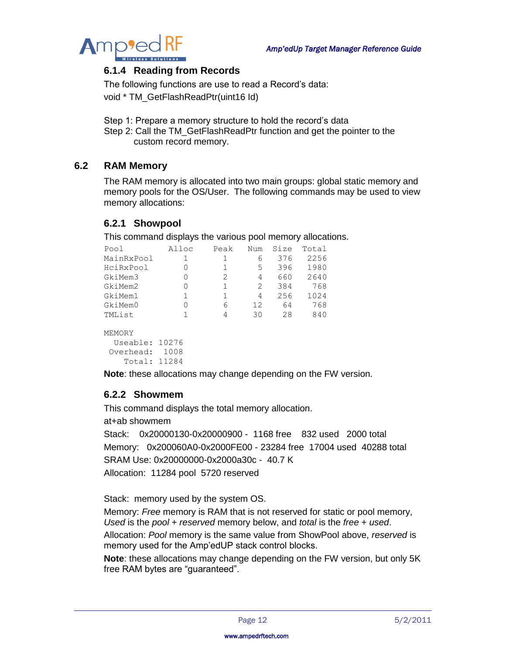

### <span id="page-11-0"></span>**6.1.4 Reading from Records**

The following functions are use to read a Record's data:

void \* TM\_GetFlashReadPtr(uint16 Id)

Step 1: Prepare a memory structure to hold the record's data

Step 2: Call the TM\_GetFlashReadPtr function and get the pointer to the custom record memory.

### <span id="page-11-1"></span>**6.2 RAM Memory**

The RAM memory is allocated into two main groups: global static memory and memory pools for the OS/User. The following commands may be used to view memory allocations:

### <span id="page-11-2"></span>**6.2.1 Showpool**

This command displays the various pool memory allocations.

| Pool           | Alloc | Peak         | Num | Size | Total |
|----------------|-------|--------------|-----|------|-------|
| MainRxPool     | 1     | 1            | 6   | 376  | 2256  |
| HciRxPool      | 0     | 1            | 5   | 396  | 1980  |
| GkiMem3        | 0     | 2            | 4   | 660  | 2640  |
| GkiMem2        | 0     | $\mathbf{1}$ | 2   | 384  | 768   |
| GkiMem1        | 1     | $\mathbf{1}$ | 4   | 256  | 1024  |
| GkiMem0        | 0     | 6            | 12  | 64   | 768   |
| TMList         | 1     | 4            | 30  | 28   | 840   |
| MEMORY         |       |              |     |      |       |
| Useable: 10276 |       |              |     |      |       |
| Overhead:      | 1008  |              |     |      |       |
| Total:         | 11284 |              |     |      |       |

**Note**: these allocations may change depending on the FW version.

#### <span id="page-11-3"></span>**6.2.2 Showmem**

This command displays the total memory allocation.

at+ab showmem

Stack: 0x20000130-0x20000900 - 1168 free 832 used 2000 total Memory: 0x200060A0-0x2000FE00 - 23284 free 17004 used 40288 total SRAM Use: 0x20000000-0x2000a30c - 40.7 K Allocation: 11284 pool 5720 reserved

Stack: memory used by the system OS.

Memory: *Free* memory is RAM that is not reserved for static or pool memory, *Used* is the *pool* + *reserved* memory below, and *total* is the *free* + *used*. Allocation: *Pool* memory is the same value from ShowPool above, *reserved* is memory used for the Amp'edUP stack control blocks.

**Note**: these allocations may change depending on the FW version, but only 5K free RAM bytes are "guaranteed".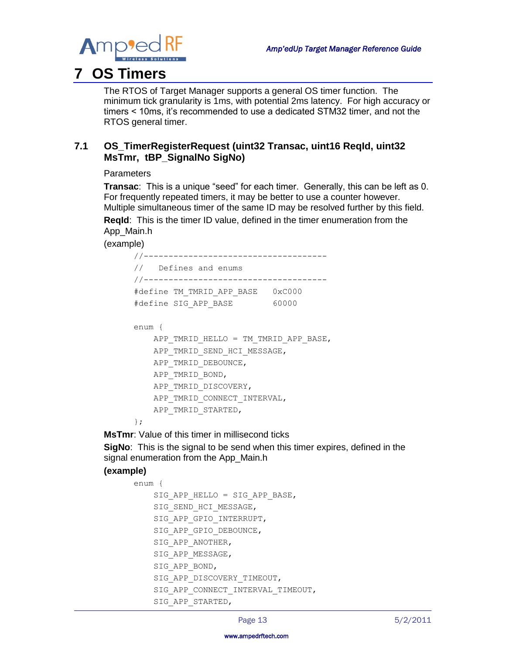

# <span id="page-12-0"></span>**7 OS Timers**

The RTOS of Target Manager supports a general OS timer function. The minimum tick granularity is 1ms, with potential 2ms latency. For high accuracy or timers < 10ms, it's recommended to use a dedicated STM32 timer, and not the RTOS general timer.

# <span id="page-12-1"></span>**7.1 OS\_TimerRegisterRequest (uint32 Transac, uint16 ReqId, uint32 MsTmr, tBP\_SignalNo SigNo)**

**Parameters** 

**Transac**: This is a unique "seed" for each timer. Generally, this can be left as 0. For frequently repeated timers, it may be better to use a counter however. Multiple simultaneous timer of the same ID may be resolved further by this field. **ReqId**: This is the timer ID value, defined in the timer enumeration from the App\_Main.h

(example)

```
//-------------------------------------
// Defines and enums
//-------------------------------------
#define TM_TMRID_APP_BASE 0xC000
#define SIG_APP_BASE 60000
enum {
   APP_TMRID_HELLO = TM_TMRID_APP_BASE,
   APP_TMRID_SEND_HCI_MESSAGE,
   APP_TMRID_DEBOUNCE,
   APP_TMRID_BOND,
   APP_TMRID_DISCOVERY,
   APP_TMRID_CONNECT_INTERVAL,
   APP_TMRID_STARTED,
};
```
**MsTmr**: Value of this timer in millisecond ticks

**SigNo:** This is the signal to be send when this timer expires, defined in the signal enumeration from the App\_Main.h

### **(example)**

```
enum {
    SIG_APP_HELLO = SIG_APP_BASE,
    SIG SEND HCI MESSAGE,
    SIG APP GPIO INTERRUPT,
    SIG_APP_GPIO_DEBOUNCE,
    SIG APP ANOTHER,
    SIG APP MESSAGE,
     SIG_APP_BOND,
    SIG APP DISCOVERY TIMEOUT,
    SIG APP CONNECT INTERVAL TIMEOUT,
    SIG APP STARTED,
```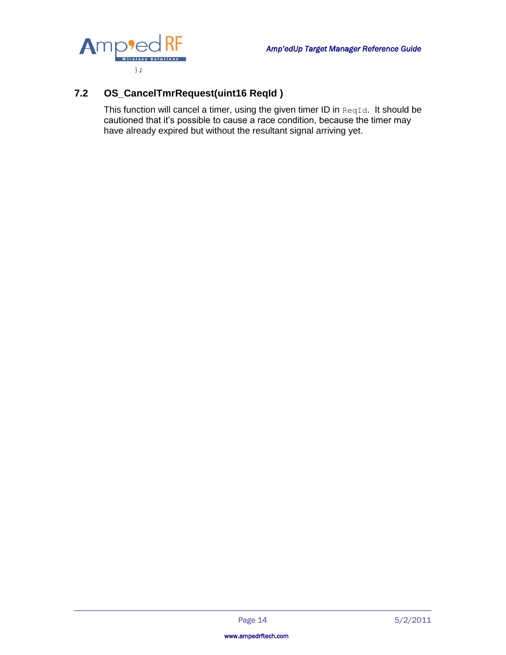

# <span id="page-13-0"></span>**7.2 OS\_CancelTmrRequest(uint16 ReqId )**

This function will cancel a timer, using the given timer ID in ReqId. It should be cautioned that it's possible to cause a race condition, because the timer may have already expired but without the resultant signal arriving yet.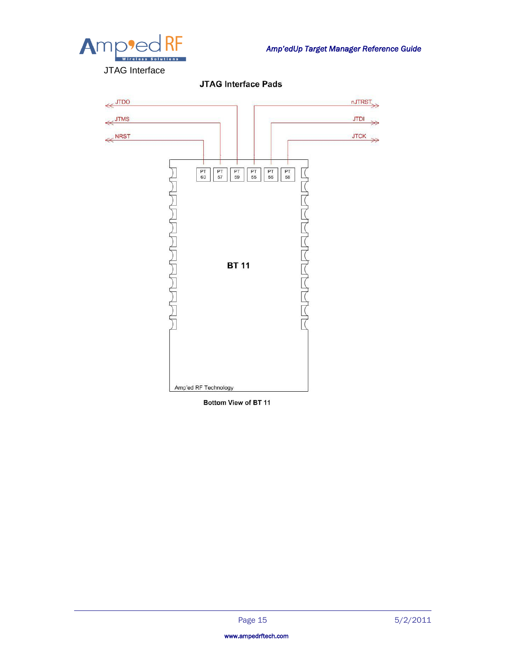

**JTAG Interface Pads** 



Bottom View of BT 11